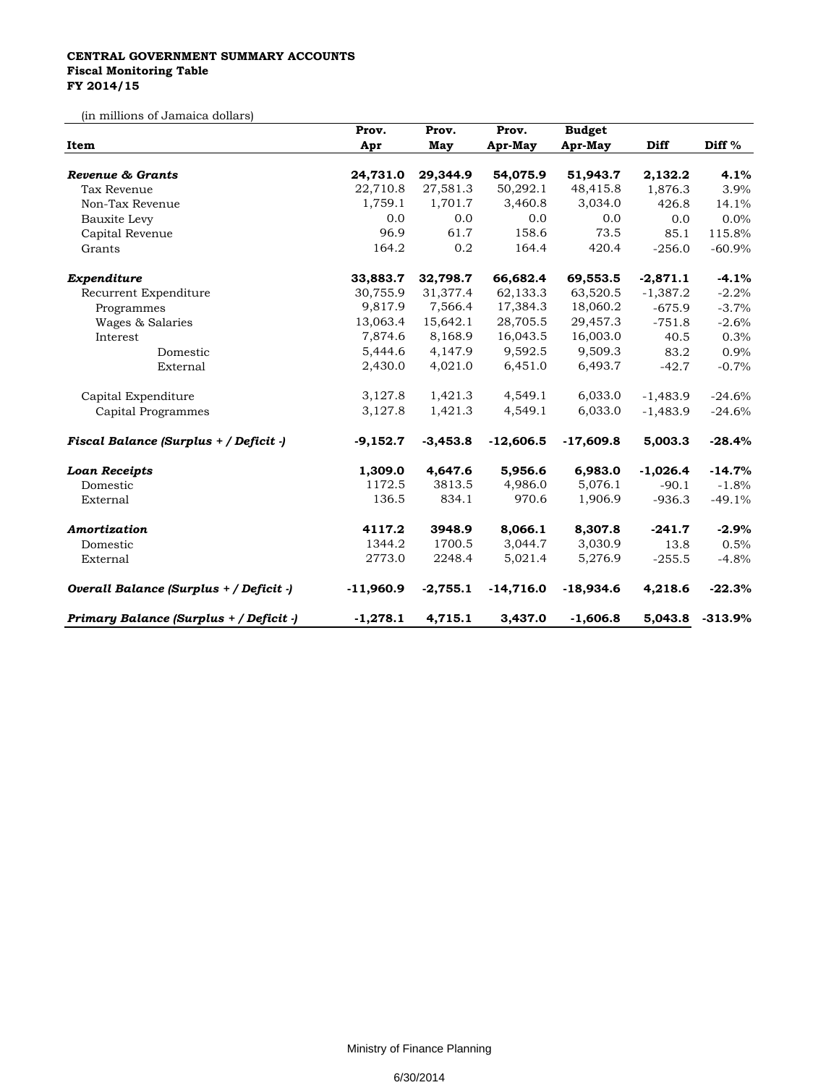## **CENTRAL GOVERNMENT SUMMARY ACCOUNTS Fiscal Monitoring Table FY 2014/15**

(in millions of Jamaica dollars)

| Item                                    | Prov.       | Prov.      | Prov.       | <b>Budget</b> |            |           |
|-----------------------------------------|-------------|------------|-------------|---------------|------------|-----------|
|                                         | Apr         | May        | Apr-May     | Apr-May       | Diff       | Diff %    |
| <b>Revenue &amp; Grants</b>             | 24,731.0    | 29,344.9   | 54,075.9    | 51,943.7      | 2,132.2    | 4.1%      |
| Tax Revenue                             | 22,710.8    | 27,581.3   | 50,292.1    | 48,415.8      | 1,876.3    | 3.9%      |
| Non-Tax Revenue                         | 1,759.1     | 1,701.7    | 3,460.8     | 3,034.0       | 426.8      | 14.1%     |
|                                         | 0.0         | 0.0        | 0.0         | 0.0           | 0.0        | 0.0%      |
| Bauxite Levy                            | 96.9        | 61.7       | 158.6       | 73.5          |            |           |
| Capital Revenue                         |             |            |             |               | 85.1       | 115.8%    |
| Grants                                  | 164.2       | 0.2        | 164.4       | 420.4         | $-256.0$   | $-60.9%$  |
| Expenditure                             | 33,883.7    | 32,798.7   | 66,682.4    | 69,553.5      | $-2,871.1$ | $-4.1%$   |
| Recurrent Expenditure                   | 30,755.9    | 31,377.4   | 62,133.3    | 63,520.5      | $-1,387.2$ | $-2.2%$   |
| Programmes                              | 9,817.9     | 7,566.4    | 17,384.3    | 18,060.2      | $-675.9$   | $-3.7%$   |
| Wages & Salaries                        | 13,063.4    | 15,642.1   | 28,705.5    | 29,457.3      | $-751.8$   | $-2.6%$   |
| Interest                                | 7,874.6     | 8,168.9    | 16,043.5    | 16,003.0      | 40.5       | 0.3%      |
| Domestic                                | 5,444.6     | 4,147.9    | 9,592.5     | 9,509.3       | 83.2       | 0.9%      |
| External                                | 2,430.0     | 4,021.0    | 6,451.0     | 6,493.7       | $-42.7$    | $-0.7%$   |
| Capital Expenditure                     | 3,127.8     | 1,421.3    | 4,549.1     | 6,033.0       | $-1,483.9$ | $-24.6%$  |
| Capital Programmes                      | 3,127.8     | 1,421.3    | 4,549.1     | 6,033.0       | $-1,483.9$ | $-24.6%$  |
| Fiscal Balance (Surplus + / Deficit -)  | $-9,152.7$  | $-3,453.8$ | $-12,606.5$ | $-17,609.8$   | 5,003.3    | $-28.4%$  |
| <b>Loan Receipts</b>                    | 1,309.0     | 4,647.6    | 5,956.6     | 6,983.0       | $-1,026.4$ | $-14.7%$  |
| Domestic                                | 1172.5      | 3813.5     | 4,986.0     | 5,076.1       | $-90.1$    | $-1.8%$   |
| External                                | 136.5       | 834.1      | 970.6       | 1,906.9       | $-936.3$   | $-49.1%$  |
| Amortization                            | 4117.2      | 3948.9     | 8,066.1     | 8,307.8       | $-241.7$   | $-2.9%$   |
| Domestic                                | 1344.2      | 1700.5     | 3,044.7     | 3,030.9       | 13.8       | 0.5%      |
| External                                | 2773.0      | 2248.4     | 5,021.4     | 5,276.9       | $-255.5$   | $-4.8%$   |
| Overall Balance (Surplus + / Deficit -) | $-11,960.9$ | $-2,755.1$ | $-14,716.0$ | $-18,934.6$   | 4,218.6    | $-22.3%$  |
| Primary Balance (Surplus + / Deficit -) | $-1,278.1$  | 4,715.1    | 3,437.0     | $-1,606.8$    | 5,043.8    | $-313.9%$ |